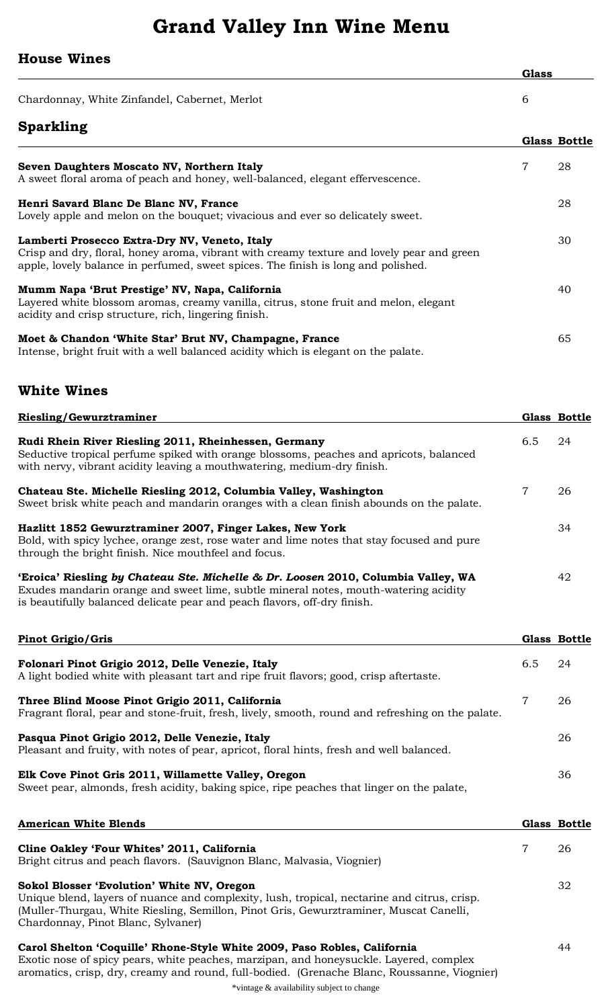## **Grand Valley Inn Wine Menu**

## **House Wines**

| vuvv vv                                       | <b>Glass</b> |
|-----------------------------------------------|--------------|
| Chardonnay, White Zinfandel, Cabernet, Merlot | b            |
| <b>Sparkling</b>                              |              |

|                                                                                                                                                                                                                                 |   | <b>Glass Bottle</b> |
|---------------------------------------------------------------------------------------------------------------------------------------------------------------------------------------------------------------------------------|---|---------------------|
| Seven Daughters Moscato NV, Northern Italy<br>A sweet floral aroma of peach and honey, well-balanced, elegant effervescence.                                                                                                    | 7 | 28                  |
|                                                                                                                                                                                                                                 |   |                     |
| Henri Savard Blanc De Blanc NV, France<br>Lovely apple and melon on the bouquet; vivacious and ever so delicately sweet.                                                                                                        |   | 28                  |
| Lamberti Prosecco Extra-Dry NV, Veneto, Italy<br>Crisp and dry, floral, honey aroma, vibrant with creamy texture and lovely pear and green<br>apple, lovely balance in perfumed, sweet spices. The finish is long and polished. |   | 30                  |
| Mumm Napa 'Brut Prestige' NV, Napa, California<br>Layered white blossom aromas, creamy vanilla, citrus, stone fruit and melon, elegant<br>acidity and crisp structure, rich, lingering finish.                                  |   | 40                  |
| Moet & Chandon 'White Star' Brut NV, Champagne, France<br>Intense, bright fruit with a well balanced acidity which is elegant on the palate.                                                                                    |   | 65                  |

## **White Wines**

| <b>Riesling/Gewurztraminer</b>                                                                                                                                                                                                                       |                | Glass Bottle |
|------------------------------------------------------------------------------------------------------------------------------------------------------------------------------------------------------------------------------------------------------|----------------|--------------|
| Rudi Rhein River Riesling 2011, Rheinhessen, Germany<br>Seductive tropical perfume spiked with orange blossoms, peaches and apricots, balanced<br>with nervy, vibrant acidity leaving a mouthwatering, medium-dry finish.                            | 6.5            | 24           |
| Chateau Ste. Michelle Riesling 2012, Columbia Valley, Washington<br>Sweet brisk white peach and mandarin oranges with a clean finish abounds on the palate.                                                                                          | $\overline{7}$ | 26           |
| Hazlitt 1852 Gewurztraminer 2007, Finger Lakes, New York<br>Bold, with spicy lychee, orange zest, rose water and lime notes that stay focused and pure<br>through the bright finish. Nice mouthfeel and focus.                                       |                | 34           |
| 'Eroica' Riesling by Chateau Ste. Michelle & Dr. Loosen 2010, Columbia Valley, WA<br>Exudes mandarin orange and sweet lime, subtle mineral notes, mouth-watering acidity<br>is beautifully balanced delicate pear and peach flavors, off-dry finish. |                | 42           |

| <b>Pinot Grigio/Gris</b>                                                                                                                             |     | Glass Bottle |
|------------------------------------------------------------------------------------------------------------------------------------------------------|-----|--------------|
| Folonari Pinot Grigio 2012, Delle Venezie, Italy<br>A light bodied white with pleasant tart and ripe fruit flavors; good, crisp aftertaste.          | 6.5 | -24          |
| Three Blind Moose Pinot Grigio 2011, California<br>Fragrant floral, pear and stone-fruit, fresh, lively, smooth, round and refreshing on the palate. |     | -26          |
| Pasqua Pinot Grigio 2012, Delle Venezie, Italy<br>Pleasant and fruity, with notes of pear, apricot, floral hints, fresh and well balanced.           |     | 26           |
| Elk Cove Pinot Gris 2011, Willamette Valley, Oregon<br>Sweet pear, almonds, fresh acidity, baking spice, ripe peaches that linger on the palate,     |     | 36           |

| <b>American White Blends</b>                                                                                                                                                                                                                                              | Glass Bottle |
|---------------------------------------------------------------------------------------------------------------------------------------------------------------------------------------------------------------------------------------------------------------------------|--------------|
| Cline Oakley 'Four Whites' 2011, California<br>Bright citrus and peach flavors. (Sauvignon Blanc, Malvasia, Viognier)                                                                                                                                                     | 26           |
| Sokol Blosser 'Evolution' White NV, Oregon<br>Unique blend, layers of nuance and complexity, lush, tropical, nectarine and citrus, crisp.<br>(Muller-Thurgau, White Riesling, Semillon, Pinot Gris, Gewurztraminer, Muscat Canelli,<br>Chardonnay, Pinot Blanc, Sylvaner) | 32           |
| Carol Shelton 'Coquille' Rhone-Style White 2009, Paso Robles, California<br>Exotic nose of spicy pears, white peaches, marzipan, and honeysuckle. Layered, complex<br>aromatics, crisp, dry, creamy and round, full-bodied. (Grenache Blanc, Roussanne, Viognier)         | 44           |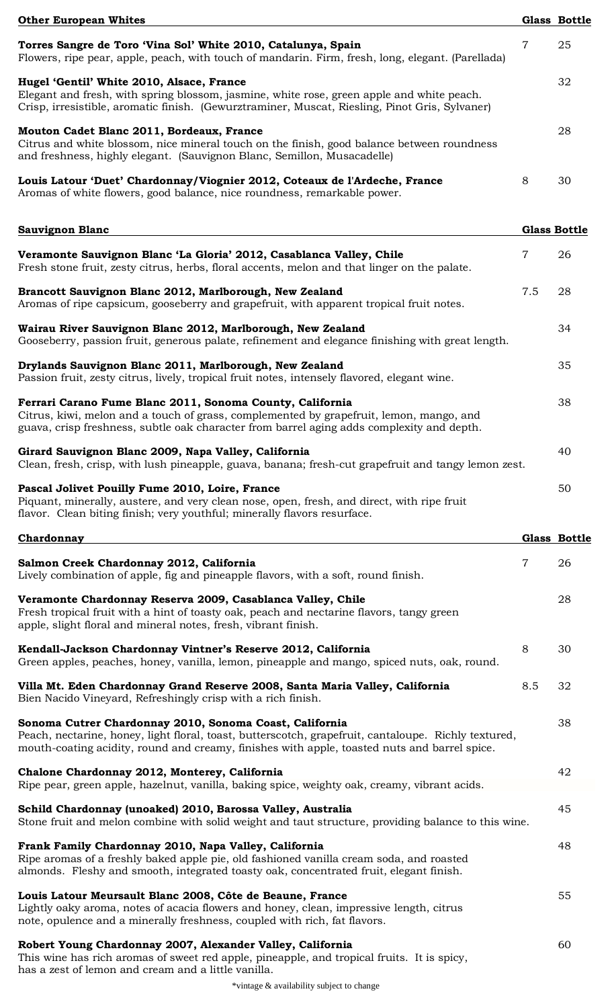| <b>Other European Whites</b>                                                                                                                                                                                                                                    |                | <b>Glass Bottle</b> |
|-----------------------------------------------------------------------------------------------------------------------------------------------------------------------------------------------------------------------------------------------------------------|----------------|---------------------|
| Torres Sangre de Toro 'Vina Sol' White 2010, Catalunya, Spain<br>Flowers, ripe pear, apple, peach, with touch of mandarin. Firm, fresh, long, elegant. (Parellada)                                                                                              | $\overline{7}$ | 25                  |
| Hugel 'Gentil' White 2010, Alsace, France<br>Elegant and fresh, with spring blossom, jasmine, white rose, green apple and white peach.<br>Crisp, irresistible, aromatic finish. (Gewurztraminer, Muscat, Riesling, Pinot Gris, Sylvaner)                        |                | 32                  |
| Mouton Cadet Blanc 2011, Bordeaux, France<br>Citrus and white blossom, nice mineral touch on the finish, good balance between roundness<br>and freshness, highly elegant. (Sauvignon Blanc, Semillon, Musacadelle)                                              |                | 28                  |
| Louis Latour 'Duet' Chardonnay/Viognier 2012, Coteaux de l'Ardeche, France<br>Aromas of white flowers, good balance, nice roundness, remarkable power.                                                                                                          | 8              | 30                  |
| <b>Sauvignon Blanc</b>                                                                                                                                                                                                                                          |                | <b>Glass Bottle</b> |
| Veramonte Sauvignon Blanc 'La Gloria' 2012, Casablanca Valley, Chile<br>Fresh stone fruit, zesty citrus, herbs, floral accents, melon and that linger on the palate.                                                                                            | $\overline{7}$ | 26                  |
| Brancott Sauvignon Blanc 2012, Marlborough, New Zealand<br>Aromas of ripe capsicum, gooseberry and grapefruit, with apparent tropical fruit notes.                                                                                                              | 7.5            | 28                  |
| Wairau River Sauvignon Blanc 2012, Marlborough, New Zealand<br>Gooseberry, passion fruit, generous palate, refinement and elegance finishing with great length.                                                                                                 |                | 34                  |
| Drylands Sauvignon Blanc 2011, Marlborough, New Zealand<br>Passion fruit, zesty citrus, lively, tropical fruit notes, intensely flavored, elegant wine.                                                                                                         |                | 35                  |
| Ferrari Carano Fume Blanc 2011, Sonoma County, California<br>Citrus, kiwi, melon and a touch of grass, complemented by grapefruit, lemon, mango, and<br>guava, crisp freshness, subtle oak character from barrel aging adds complexity and depth.               |                | 38                  |
| Girard Sauvignon Blanc 2009, Napa Valley, California<br>Clean, fresh, crisp, with lush pineapple, guava, banana; fresh-cut grapefruit and tangy lemon zest.                                                                                                     |                | 40                  |
| Pascal Jolivet Pouilly Fume 2010, Loire, France<br>Piquant, minerally, austere, and very clean nose, open, fresh, and direct, with ripe fruit<br>flavor. Clean biting finish; very youthful; minerally flavors resurface.                                       |                | 50                  |
| Chardonnay                                                                                                                                                                                                                                                      |                | Glass Bottle        |
| Salmon Creek Chardonnay 2012, California<br>Lively combination of apple, fig and pineapple flavors, with a soft, round finish.                                                                                                                                  | 7              | 26                  |
| Veramonte Chardonnay Reserva 2009, Casablanca Valley, Chile<br>Fresh tropical fruit with a hint of toasty oak, peach and nectarine flavors, tangy green<br>apple, slight floral and mineral notes, fresh, vibrant finish.                                       |                | 28                  |
| Kendall-Jackson Chardonnay Vintner's Reserve 2012, California<br>Green apples, peaches, honey, vanilla, lemon, pineapple and mango, spiced nuts, oak, round.                                                                                                    | 8              | 30                  |
| Villa Mt. Eden Chardonnay Grand Reserve 2008, Santa Maria Valley, California<br>Bien Nacido Vineyard, Refreshingly crisp with a rich finish.                                                                                                                    | 8.5            | 32                  |
| Sonoma Cutrer Chardonnay 2010, Sonoma Coast, California<br>Peach, nectarine, honey, light floral, toast, butterscotch, grapefruit, cantaloupe. Richly textured,<br>mouth-coating acidity, round and creamy, finishes with apple, toasted nuts and barrel spice. |                | 38                  |
| Chalone Chardonnay 2012, Monterey, California<br>Ripe pear, green apple, hazelnut, vanilla, baking spice, weighty oak, creamy, vibrant acids.                                                                                                                   |                | 42                  |
| Schild Chardonnay (unoaked) 2010, Barossa Valley, Australia<br>Stone fruit and melon combine with solid weight and taut structure, providing balance to this wine.                                                                                              |                | 45                  |
| Frank Family Chardonnay 2010, Napa Valley, California<br>Ripe aromas of a freshly baked apple pie, old fashioned vanilla cream soda, and roasted<br>almonds. Fleshy and smooth, integrated toasty oak, concentrated fruit, elegant finish.                      |                | 48                  |
| Louis Latour Meursault Blanc 2008, Côte de Beaune, France<br>Lightly oaky aroma, notes of acacia flowers and honey, clean, impressive length, citrus<br>note, opulence and a minerally freshness, coupled with rich, fat flavors.                               |                | 55                  |
| Robert Young Chardonnay 2007, Alexander Valley, California<br>This wine has rich aromas of sweet red apple, pineapple, and tropical fruits. It is spicy,<br>has a zest of lemon and cream and a little vanilla.                                                 |                | 60                  |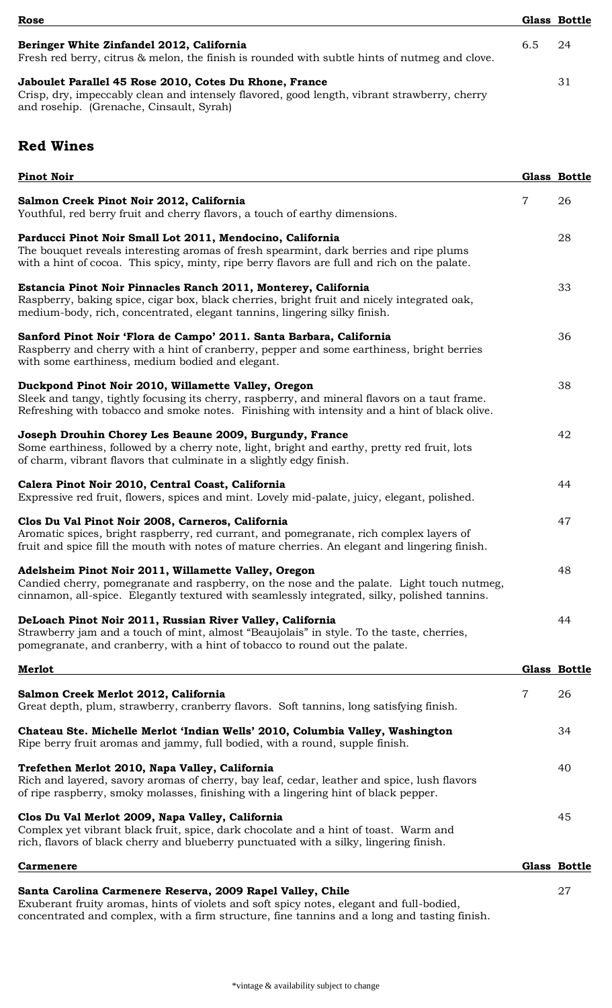| Rose                                                                                                                                                                                               |     | <b>Glass Bottle</b> |
|----------------------------------------------------------------------------------------------------------------------------------------------------------------------------------------------------|-----|---------------------|
| Beringer White Zinfandel 2012, California<br>Fresh red berry, citrus & melon, the finish is rounded with subtle hints of nutmeg and clove.                                                         | 6.5 | 24                  |
| Jaboulet Parallel 45 Rose 2010, Cotes Du Rhone, France<br>Crisp, dry, impeccably clean and intensely flavored, good length, vibrant strawberry, cherry<br>and rosehip. (Grenache, Cinsault, Syrah) |     | 31                  |

## **Red Wines**

| <b>Pinot Noir</b>                                                                                                                                                                                                                                    |                | Glass Bottle        |
|------------------------------------------------------------------------------------------------------------------------------------------------------------------------------------------------------------------------------------------------------|----------------|---------------------|
| Salmon Creek Pinot Noir 2012, California<br>Youthful, red berry fruit and cherry flavors, a touch of earthy dimensions.                                                                                                                              | $\overline{7}$ | 26                  |
| Parducci Pinot Noir Small Lot 2011, Mendocino, California<br>The bouquet reveals interesting aromas of fresh spearmint, dark berries and ripe plums<br>with a hint of cocoa. This spicy, minty, ripe berry flavors are full and rich on the palate.  |                | 28                  |
| Estancia Pinot Noir Pinnacles Ranch 2011, Monterey, California<br>Raspberry, baking spice, cigar box, black cherries, bright fruit and nicely integrated oak,<br>medium-body, rich, concentrated, elegant tannins, lingering silky finish.           |                | 33                  |
| Sanford Pinot Noir 'Flora de Campo' 2011. Santa Barbara, California<br>Raspberry and cherry with a hint of cranberry, pepper and some earthiness, bright berries<br>with some earthiness, medium bodied and elegant.                                 |                | 36                  |
| Duckpond Pinot Noir 2010, Willamette Valley, Oregon<br>Sleek and tangy, tightly focusing its cherry, raspberry, and mineral flavors on a taut frame.<br>Refreshing with tobacco and smoke notes. Finishing with intensity and a hint of black olive. |                | 38                  |
| Joseph Drouhin Chorey Les Beaune 2009, Burgundy, France<br>Some earthiness, followed by a cherry note, light, bright and earthy, pretty red fruit, lots<br>of charm, vibrant flavors that culminate in a slightly edgy finish.                       |                | 42                  |
| Calera Pinot Noir 2010, Central Coast, California<br>Expressive red fruit, flowers, spices and mint. Lovely mid-palate, juicy, elegant, polished.                                                                                                    |                | 44                  |
| Clos Du Val Pinot Noir 2008, Carneros, California<br>Aromatic spices, bright raspberry, red currant, and pomegranate, rich complex layers of<br>fruit and spice fill the mouth with notes of mature cherries. An elegant and lingering finish.       |                | 47                  |
| Adelsheim Pinot Noir 2011, Willamette Valley, Oregon<br>Candied cherry, pomegranate and raspberry, on the nose and the palate. Light touch nutmeg,<br>cinnamon, all-spice. Elegantly textured with seamlessly integrated, silky, polished tannins.   |                | 48                  |
| DeLoach Pinot Noir 2011, Russian River Valley, California<br>Strawberry jam and a touch of mint, almost "Beaujolais" in style. To the taste, cherries,<br>pomegranate, and cranberry, with a hint of tobacco to round out the palate.                |                | 44                  |
| Merlot                                                                                                                                                                                                                                               |                | Glass Bottle        |
| Salmon Creek Merlot 2012, California<br>Great depth, plum, strawberry, cranberry flavors. Soft tannins, long satisfying finish.                                                                                                                      | 7              | 26                  |
| Chateau Ste. Michelle Merlot 'Indian Wells' 2010, Columbia Valley, Washington<br>Ripe berry fruit aromas and jammy, full bodied, with a round, supple finish.                                                                                        |                | 34                  |
| Trefethen Merlot 2010, Napa Valley, California<br>Rich and layered, savory aromas of cherry, bay leaf, cedar, leather and spice, lush flavors<br>of ripe raspberry, smoky molasses, finishing with a lingering hint of black pepper.                 |                | 40                  |
| Clos Du Val Merlot 2009, Napa Valley, California<br>Complex yet vibrant black fruit, spice, dark chocolate and a hint of toast. Warm and<br>rich, flavors of black cherry and blueberry punctuated with a silky, lingering finish.                   |                | 45                  |
| <b>Carmenere</b>                                                                                                                                                                                                                                     |                | <b>Glass Bottle</b> |
| Santa Carolina Carmenere Reserva, 2009 Rapel Valley, Chile<br>Exuberant fruity aromas, hints of violets and soft spicy notes, elegant and full-bodied,                                                                                               |                | 27                  |

concentrated and complex, with a firm structure, fine tannins and a long and tasting finish.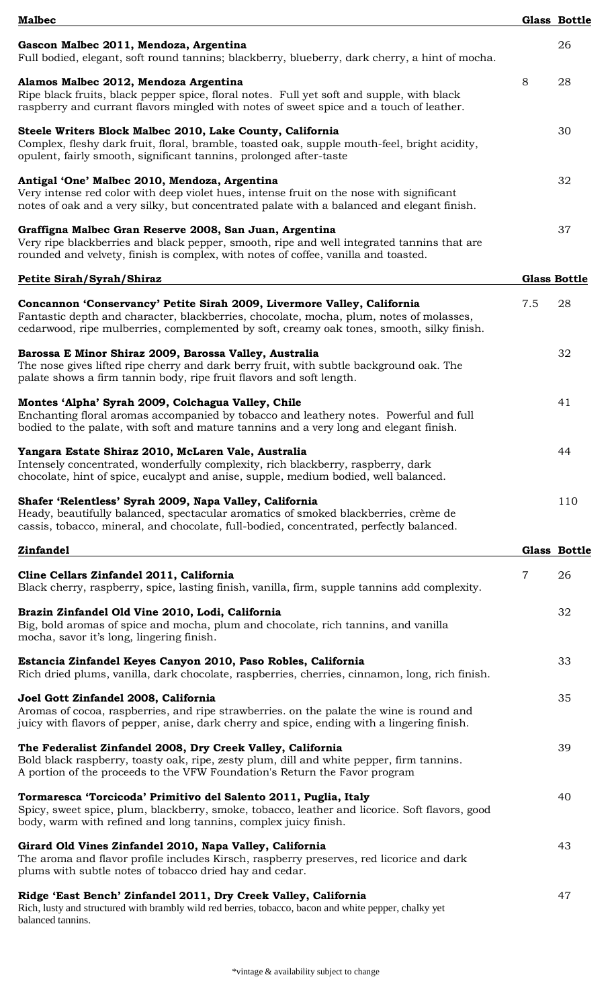| <b>Malbec</b>                                                                                                                                                                                                                                                   |                | <b>Glass Bottle</b> |
|-----------------------------------------------------------------------------------------------------------------------------------------------------------------------------------------------------------------------------------------------------------------|----------------|---------------------|
| Gascon Malbec 2011, Mendoza, Argentina<br>Full bodied, elegant, soft round tannins; blackberry, blueberry, dark cherry, a hint of mocha.                                                                                                                        |                | 26                  |
| Alamos Malbec 2012, Mendoza Argentina<br>Ripe black fruits, black pepper spice, floral notes. Full yet soft and supple, with black<br>raspberry and currant flavors mingled with notes of sweet spice and a touch of leather.                                   | 8              | 28                  |
| Steele Writers Block Malbec 2010, Lake County, California<br>Complex, fleshy dark fruit, floral, bramble, toasted oak, supple mouth-feel, bright acidity,<br>opulent, fairly smooth, significant tannins, prolonged after-taste                                 |                | 30                  |
| Antigal 'One' Malbec 2010, Mendoza, Argentina<br>Very intense red color with deep violet hues, intense fruit on the nose with significant<br>notes of oak and a very silky, but concentrated palate with a balanced and elegant finish.                         |                | 32                  |
| Graffigna Malbec Gran Reserve 2008, San Juan, Argentina<br>Very ripe blackberries and black pepper, smooth, ripe and well integrated tannins that are<br>rounded and velvety, finish is complex, with notes of coffee, vanilla and toasted.                     |                | 37                  |
| Petite Sirah/Syrah/Shiraz                                                                                                                                                                                                                                       |                | <b>Glass Bottle</b> |
| Concannon 'Conservancy' Petite Sirah 2009, Livermore Valley, California<br>Fantastic depth and character, blackberries, chocolate, mocha, plum, notes of molasses,<br>cedarwood, ripe mulberries, complemented by soft, creamy oak tones, smooth, silky finish. | 7.5            | 28                  |
| Barossa E Minor Shiraz 2009, Barossa Valley, Australia<br>The nose gives lifted ripe cherry and dark berry fruit, with subtle background oak. The<br>palate shows a firm tannin body, ripe fruit flavors and soft length.                                       |                | 32                  |
| Montes 'Alpha' Syrah 2009, Colchagua Valley, Chile<br>Enchanting floral aromas accompanied by tobacco and leathery notes. Powerful and full<br>bodied to the palate, with soft and mature tannins and a very long and elegant finish.                           |                | 41                  |
| Yangara Estate Shiraz 2010, McLaren Vale, Australia<br>Intensely concentrated, wonderfully complexity, rich blackberry, raspberry, dark<br>chocolate, hint of spice, eucalypt and anise, supple, medium bodied, well balanced.                                  |                | 44                  |
| Shafer 'Relentless' Syrah 2009, Napa Valley, California<br>Heady, beautifully balanced, spectacular aromatics of smoked blackberries, crème de<br>cassis, tobacco, mineral, and chocolate, full-bodied, concentrated, perfectly balanced.                       |                | 110                 |
| <b>Zinfandel</b>                                                                                                                                                                                                                                                |                | Glass Bottle        |
| Cline Cellars Zinfandel 2011, California<br>Black cherry, raspberry, spice, lasting finish, vanilla, firm, supple tannins add complexity.                                                                                                                       | $\overline{7}$ | 26                  |
| Brazin Zinfandel Old Vine 2010, Lodi, California<br>Big, bold aromas of spice and mocha, plum and chocolate, rich tannins, and vanilla<br>mocha, savor it's long, lingering finish.                                                                             |                | 32                  |
| Estancia Zinfandel Keyes Canyon 2010, Paso Robles, California<br>Rich dried plums, vanilla, dark chocolate, raspberries, cherries, cinnamon, long, rich finish.                                                                                                 |                | 33                  |
| Joel Gott Zinfandel 2008, California<br>Aromas of cocoa, raspberries, and ripe strawberries. on the palate the wine is round and<br>juicy with flavors of pepper, anise, dark cherry and spice, ending with a lingering finish.                                 |                | 35                  |
| The Federalist Zinfandel 2008, Dry Creek Valley, California<br>Bold black raspberry, toasty oak, ripe, zesty plum, dill and white pepper, firm tannins.<br>A portion of the proceeds to the VFW Foundation's Return the Favor program                           |                | 39                  |
| Tormaresca 'Torcicoda' Primitivo del Salento 2011, Puglia, Italy<br>Spicy, sweet spice, plum, blackberry, smoke, tobacco, leather and licorice. Soft flavors, good<br>body, warm with refined and long tannins, complex juicy finish.                           |                | 40                  |
| Girard Old Vines Zinfandel 2010, Napa Valley, California<br>The aroma and flavor profile includes Kirsch, raspberry preserves, red licorice and dark<br>plums with subtle notes of tobacco dried hay and cedar.                                                 |                | 43                  |
| Ridge 'East Bench' Zinfandel 2011, Dry Creek Valley, California<br>Rich, lusty and structured with brambly wild red berries, tobacco, bacon and white pepper, chalky yet<br>balanced tannins.                                                                   |                | 47                  |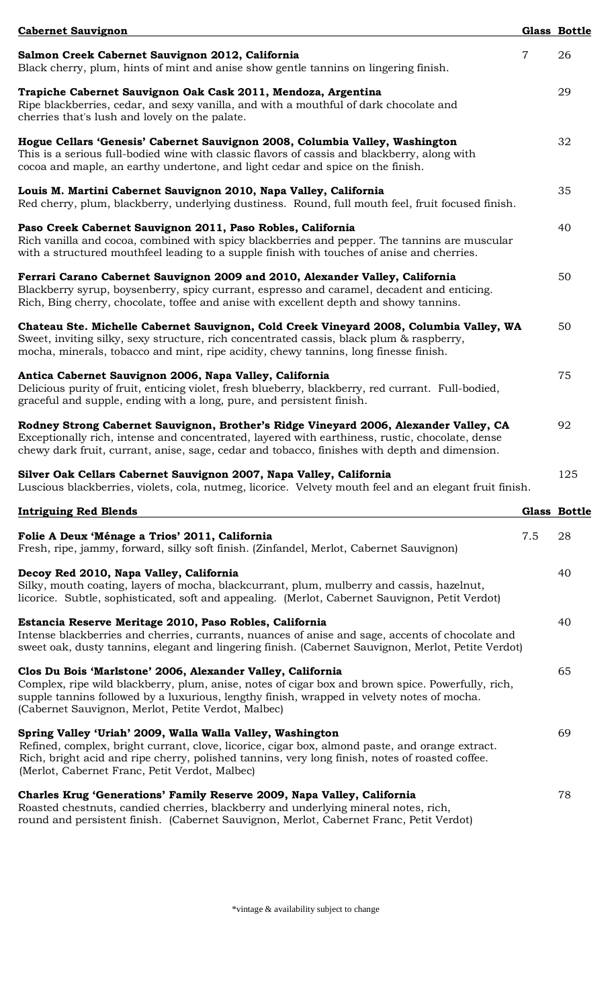| <b>Cabernet Sauvignon</b>                                                                                                                                                                                                                                                                                             |                | <b>Glass Bottle</b> |
|-----------------------------------------------------------------------------------------------------------------------------------------------------------------------------------------------------------------------------------------------------------------------------------------------------------------------|----------------|---------------------|
| Salmon Creek Cabernet Sauvignon 2012, California<br>Black cherry, plum, hints of mint and anise show gentle tannins on lingering finish.                                                                                                                                                                              | $\overline{7}$ | 26                  |
| Trapiche Cabernet Sauvignon Oak Cask 2011, Mendoza, Argentina<br>Ripe blackberries, cedar, and sexy vanilla, and with a mouthful of dark chocolate and<br>cherries that's lush and lovely on the palate.                                                                                                              |                | 29                  |
| Hogue Cellars 'Genesis' Cabernet Sauvignon 2008, Columbia Valley, Washington<br>This is a serious full-bodied wine with classic flavors of cassis and blackberry, along with<br>cocoa and maple, an earthy undertone, and light cedar and spice on the finish.                                                        |                | 32                  |
| Louis M. Martini Cabernet Sauvignon 2010, Napa Valley, California<br>Red cherry, plum, blackberry, underlying dustiness. Round, full mouth feel, fruit focused finish.                                                                                                                                                |                | 35                  |
| Paso Creek Cabernet Sauvignon 2011, Paso Robles, California<br>Rich vanilla and cocoa, combined with spicy blackberries and pepper. The tannins are muscular<br>with a structured mouthfeel leading to a supple finish with touches of anise and cherries.                                                            |                | 40                  |
| Ferrari Carano Cabernet Sauvignon 2009 and 2010, Alexander Valley, California<br>Blackberry syrup, boysenberry, spicy currant, espresso and caramel, decadent and enticing.<br>Rich, Bing cherry, chocolate, toffee and anise with excellent depth and showy tannins.                                                 |                | 50                  |
| Chateau Ste. Michelle Cabernet Sauvignon, Cold Creek Vineyard 2008, Columbia Valley, WA<br>Sweet, inviting silky, sexy structure, rich concentrated cassis, black plum & raspberry,<br>mocha, minerals, tobacco and mint, ripe acidity, chewy tannins, long finesse finish.                                           |                | 50                  |
| Antica Cabernet Sauvignon 2006, Napa Valley, California<br>Delicious purity of fruit, enticing violet, fresh blueberry, blackberry, red currant. Full-bodied,<br>graceful and supple, ending with a long, pure, and persistent finish.                                                                                |                | 75                  |
| Rodney Strong Cabernet Sauvignon, Brother's Ridge Vineyard 2006, Alexander Valley, CA<br>Exceptionally rich, intense and concentrated, layered with earthiness, rustic, chocolate, dense<br>chewy dark fruit, currant, anise, sage, cedar and tobacco, finishes with depth and dimension.                             |                | 92                  |
| Silver Oak Cellars Cabernet Sauvignon 2007, Napa Valley, California<br>Luscious blackberries, violets, cola, nutmeg, licorice. Velvety mouth feel and an elegant fruit finish.                                                                                                                                        |                | 125                 |
| <b>Intriguing Red Blends</b>                                                                                                                                                                                                                                                                                          |                | Glass Bottle        |
| Folie A Deux 'Ménage a Trios' 2011, California<br>Fresh, ripe, jammy, forward, silky soft finish. (Zinfandel, Merlot, Cabernet Sauvignon)                                                                                                                                                                             | 7.5            | 28                  |
| Decoy Red 2010, Napa Valley, California<br>Silky, mouth coating, layers of mocha, blackcurrant, plum, mulberry and cassis, hazelnut,<br>licorice. Subtle, sophisticated, soft and appealing. (Merlot, Cabernet Sauvignon, Petit Verdot)                                                                               |                | 40                  |
| Estancia Reserve Meritage 2010, Paso Robles, California<br>Intense blackberries and cherries, currants, nuances of anise and sage, accents of chocolate and<br>sweet oak, dusty tannins, elegant and lingering finish. (Cabernet Sauvignon, Merlot, Petite Verdot)                                                    |                | 40                  |
| Clos Du Bois 'Marlstone' 2006, Alexander Valley, California<br>Complex, ripe wild blackberry, plum, anise, notes of cigar box and brown spice. Powerfully, rich,<br>supple tannins followed by a luxurious, lengthy finish, wrapped in velvety notes of mocha.<br>(Cabernet Sauvignon, Merlot, Petite Verdot, Malbec) |                | 65                  |
| Spring Valley 'Uriah' 2009, Walla Walla Valley, Washington<br>Refined, complex, bright currant, clove, licorice, cigar box, almond paste, and orange extract.<br>Rich, bright acid and ripe cherry, polished tannins, very long finish, notes of roasted coffee.<br>(Merlot, Cabernet Franc, Petit Verdot, Malbec)    |                | 69                  |
| Charles Krug 'Generations' Family Reserve 2009, Napa Valley, California<br>Roasted chestnuts, candied cherries, blackberry and underlying mineral notes, rich,<br>round and persistent finish. (Cabernet Sauvignon, Merlot, Cabernet Franc, Petit Verdot)                                                             |                | 78                  |

\*vintage & availability subject to change